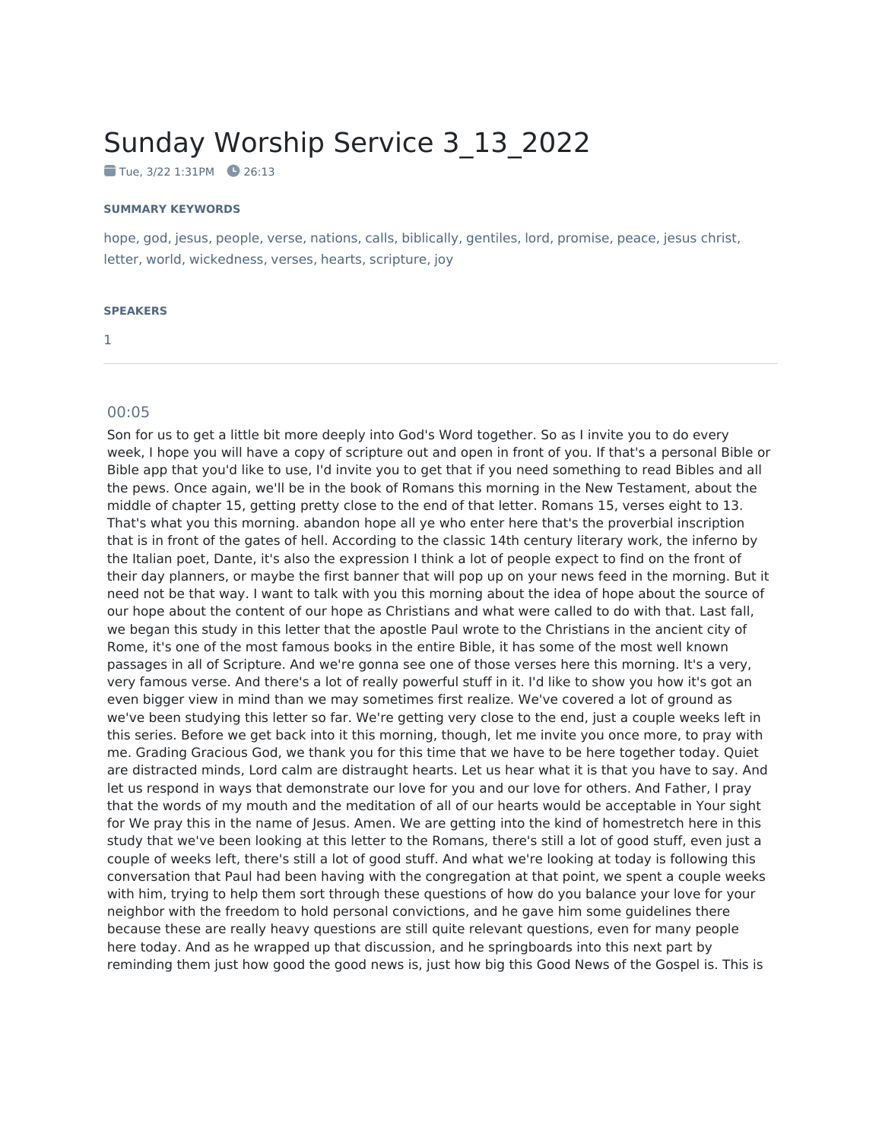## Sunday Worship Service 3\_13\_2022

 $\blacksquare$  Tue, 3/22 1:31PM  $\blacksquare$  26:13

## **SUMMARY KEYWORDS**

hope, god, jesus, people, verse, nations, calls, biblically, gentiles, lord, promise, peace, jesus christ, letter, world, wickedness, verses, hearts, scripture, joy

## **SPEAKERS**

1

## 00:05

Son for us to get a little bit more deeply into God's Word together. So as I invite you to do every week, I hope you will have a copy of scripture out and open in front of you. If that's a personal Bible or Bible app that you'd like to use, I'd invite you to get that if you need something to read Bibles and all the pews. Once again, we'll be in the book of Romans this morning in the New Testament, about the middle of chapter 15, getting pretty close to the end of that letter. Romans 15, verses eight to 13. That's what you this morning. abandon hope all ye who enter here that's the proverbial inscription that is in front of the gates of hell. According to the classic 14th century literary work, the inferno by the Italian poet, Dante, it's also the expression I think a lot of people expect to find on the front of their day planners, or maybe the first banner that will pop up on your news feed in the morning. But it need not be that way. I want to talk with you this morning about the idea of hope about the source of our hope about the content of our hope as Christians and what were called to do with that. Last fall, we began this study in this letter that the apostle Paul wrote to the Christians in the ancient city of Rome, it's one of the most famous books in the entire Bible, it has some of the most well known passages in all of Scripture. And we're gonna see one of those verses here this morning. It's a very, very famous verse. And there's a lot of really powerful stuff in it. I'd like to show you how it's got an even bigger view in mind than we may sometimes first realize. We've covered a lot of ground as we've been studying this letter so far. We're getting very close to the end, just a couple weeks left in this series. Before we get back into it this morning, though, let me invite you once more, to pray with me. Grading Gracious God, we thank you for this time that we have to be here together today. Quiet are distracted minds, Lord calm are distraught hearts. Let us hear what it is that you have to say. And let us respond in ways that demonstrate our love for you and our love for others. And Father, I pray that the words of my mouth and the meditation of all of our hearts would be acceptable in Your sight for We pray this in the name of Jesus. Amen. We are getting into the kind of homestretch here in this study that we've been looking at this letter to the Romans, there's still a lot of good stuff, even just a couple of weeks left, there's still a lot of good stuff. And what we're looking at today is following this conversation that Paul had been having with the congregation at that point, we spent a couple weeks with him, trying to help them sort through these questions of how do you balance your love for your neighbor with the freedom to hold personal convictions, and he gave him some guidelines there because these are really heavy questions are still quite relevant questions, even for many people here today. And as he wrapped up that discussion, and he springboards into this next part by reminding them just how good the good news is, just how big this Good News of the Gospel is. This is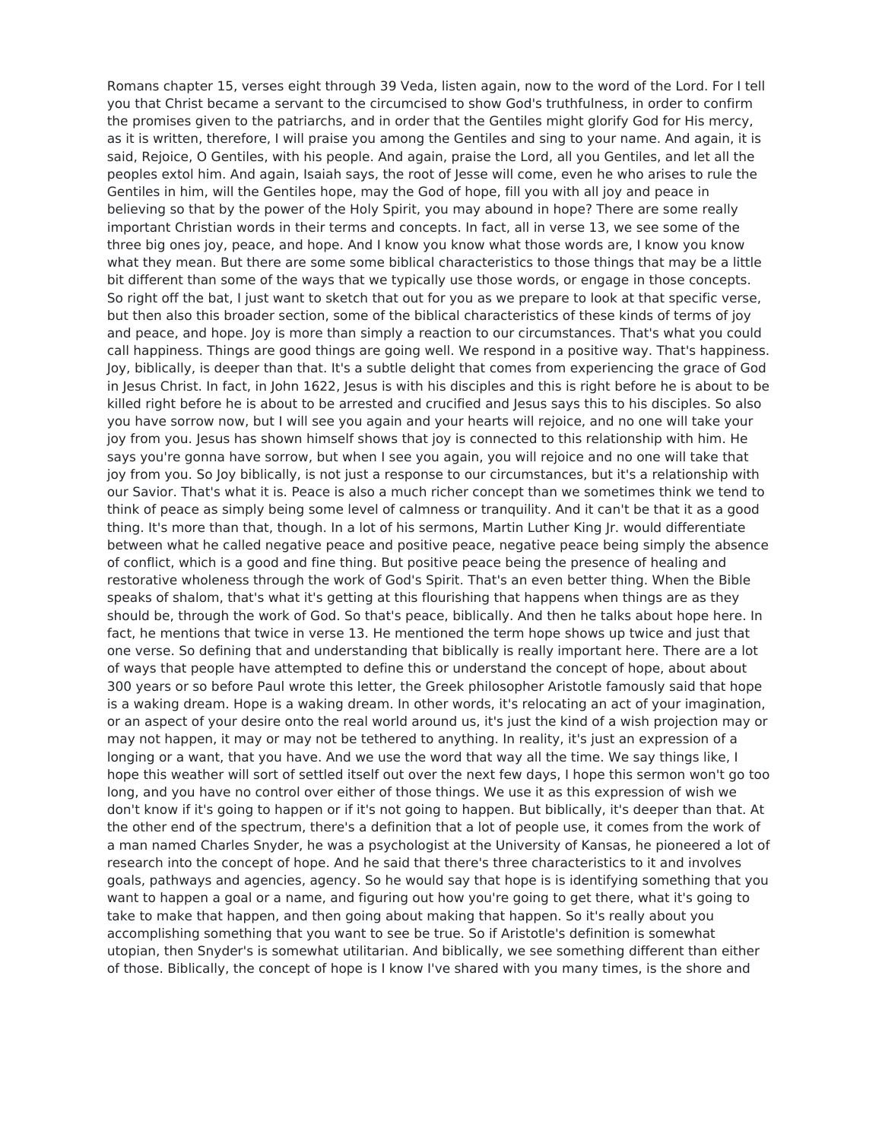Romans chapter 15, verses eight through 39 Veda, listen again, now to the word of the Lord. For I tell you that Christ became a servant to the circumcised to show God's truthfulness, in order to confirm the promises given to the patriarchs, and in order that the Gentiles might glorify God for His mercy, as it is written, therefore, I will praise you among the Gentiles and sing to your name. And again, it is said, Rejoice, O Gentiles, with his people. And again, praise the Lord, all you Gentiles, and let all the peoples extol him. And again, Isaiah says, the root of Jesse will come, even he who arises to rule the Gentiles in him, will the Gentiles hope, may the God of hope, fill you with all joy and peace in believing so that by the power of the Holy Spirit, you may abound in hope? There are some really important Christian words in their terms and concepts. In fact, all in verse 13, we see some of the three big ones joy, peace, and hope. And I know you know what those words are, I know you know what they mean. But there are some some biblical characteristics to those things that may be a little bit different than some of the ways that we typically use those words, or engage in those concepts. So right off the bat, I just want to sketch that out for you as we prepare to look at that specific verse, but then also this broader section, some of the biblical characteristics of these kinds of terms of joy and peace, and hope. Joy is more than simply a reaction to our circumstances. That's what you could call happiness. Things are good things are going well. We respond in a positive way. That's happiness. Joy, biblically, is deeper than that. It's a subtle delight that comes from experiencing the grace of God in Jesus Christ. In fact, in John 1622, Jesus is with his disciples and this is right before he is about to be killed right before he is about to be arrested and crucified and Jesus says this to his disciples. So also you have sorrow now, but I will see you again and your hearts will rejoice, and no one will take your joy from you. Jesus has shown himself shows that joy is connected to this relationship with him. He says you're gonna have sorrow, but when I see you again, you will rejoice and no one will take that joy from you. So Joy biblically, is not just a response to our circumstances, but it's a relationship with our Savior. That's what it is. Peace is also a much richer concept than we sometimes think we tend to think of peace as simply being some level of calmness or tranquility. And it can't be that it as a good thing. It's more than that, though. In a lot of his sermons, Martin Luther King Jr. would differentiate between what he called negative peace and positive peace, negative peace being simply the absence of conflict, which is a good and fine thing. But positive peace being the presence of healing and restorative wholeness through the work of God's Spirit. That's an even better thing. When the Bible speaks of shalom, that's what it's getting at this flourishing that happens when things are as they should be, through the work of God. So that's peace, biblically. And then he talks about hope here. In fact, he mentions that twice in verse 13. He mentioned the term hope shows up twice and just that one verse. So defining that and understanding that biblically is really important here. There are a lot of ways that people have attempted to define this or understand the concept of hope, about about 300 years or so before Paul wrote this letter, the Greek philosopher Aristotle famously said that hope is a waking dream. Hope is a waking dream. In other words, it's relocating an act of your imagination, or an aspect of your desire onto the real world around us, it's just the kind of a wish projection may or may not happen, it may or may not be tethered to anything. In reality, it's just an expression of a longing or a want, that you have. And we use the word that way all the time. We say things like, I hope this weather will sort of settled itself out over the next few days, I hope this sermon won't go too long, and you have no control over either of those things. We use it as this expression of wish we don't know if it's going to happen or if it's not going to happen. But biblically, it's deeper than that. At the other end of the spectrum, there's a definition that a lot of people use, it comes from the work of a man named Charles Snyder, he was a psychologist at the University of Kansas, he pioneered a lot of research into the concept of hope. And he said that there's three characteristics to it and involves goals, pathways and agencies, agency. So he would say that hope is is identifying something that you want to happen a goal or a name, and figuring out how you're going to get there, what it's going to take to make that happen, and then going about making that happen. So it's really about you accomplishing something that you want to see be true. So if Aristotle's definition is somewhat utopian, then Snyder's is somewhat utilitarian. And biblically, we see something different than either of those. Biblically, the concept of hope is I know I've shared with you many times, is the shore and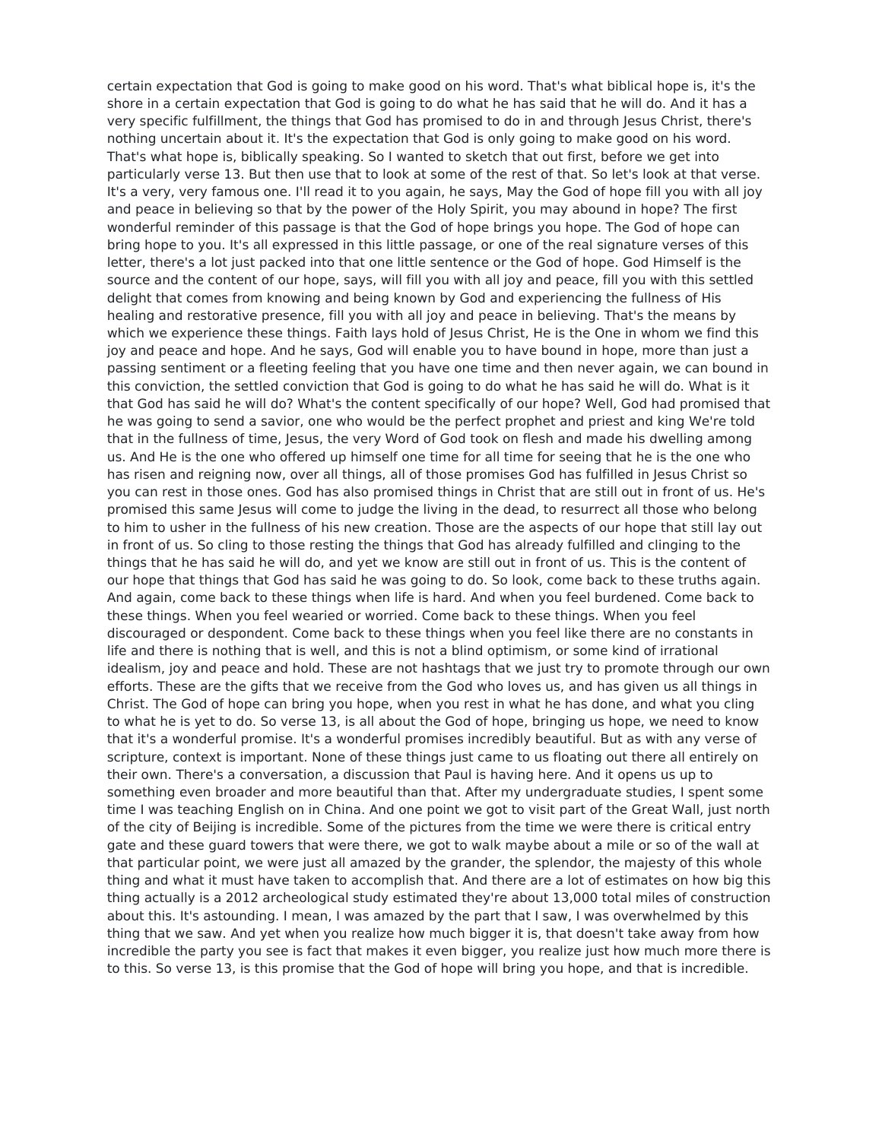certain expectation that God is going to make good on his word. That's what biblical hope is, it's the shore in a certain expectation that God is going to do what he has said that he will do. And it has a very specific fulfillment, the things that God has promised to do in and through Jesus Christ, there's nothing uncertain about it. It's the expectation that God is only going to make good on his word. That's what hope is, biblically speaking. So I wanted to sketch that out first, before we get into particularly verse 13. But then use that to look at some of the rest of that. So let's look at that verse. It's a very, very famous one. I'll read it to you again, he says, May the God of hope fill you with all joy and peace in believing so that by the power of the Holy Spirit, you may abound in hope? The first wonderful reminder of this passage is that the God of hope brings you hope. The God of hope can bring hope to you. It's all expressed in this little passage, or one of the real signature verses of this letter, there's a lot just packed into that one little sentence or the God of hope. God Himself is the source and the content of our hope, says, will fill you with all joy and peace, fill you with this settled delight that comes from knowing and being known by God and experiencing the fullness of His healing and restorative presence, fill you with all joy and peace in believing. That's the means by which we experience these things. Faith lays hold of Jesus Christ, He is the One in whom we find this joy and peace and hope. And he says, God will enable you to have bound in hope, more than just a passing sentiment or a fleeting feeling that you have one time and then never again, we can bound in this conviction, the settled conviction that God is going to do what he has said he will do. What is it that God has said he will do? What's the content specifically of our hope? Well, God had promised that he was going to send a savior, one who would be the perfect prophet and priest and king We're told that in the fullness of time, Jesus, the very Word of God took on flesh and made his dwelling among us. And He is the one who offered up himself one time for all time for seeing that he is the one who has risen and reigning now, over all things, all of those promises God has fulfilled in Jesus Christ so you can rest in those ones. God has also promised things in Christ that are still out in front of us. He's promised this same Jesus will come to judge the living in the dead, to resurrect all those who belong to him to usher in the fullness of his new creation. Those are the aspects of our hope that still lay out in front of us. So cling to those resting the things that God has already fulfilled and clinging to the things that he has said he will do, and yet we know are still out in front of us. This is the content of our hope that things that God has said he was going to do. So look, come back to these truths again. And again, come back to these things when life is hard. And when you feel burdened. Come back to these things. When you feel wearied or worried. Come back to these things. When you feel discouraged or despondent. Come back to these things when you feel like there are no constants in life and there is nothing that is well, and this is not a blind optimism, or some kind of irrational idealism, joy and peace and hold. These are not hashtags that we just try to promote through our own efforts. These are the gifts that we receive from the God who loves us, and has given us all things in Christ. The God of hope can bring you hope, when you rest in what he has done, and what you cling to what he is yet to do. So verse 13, is all about the God of hope, bringing us hope, we need to know that it's a wonderful promise. It's a wonderful promises incredibly beautiful. But as with any verse of scripture, context is important. None of these things just came to us floating out there all entirely on their own. There's a conversation, a discussion that Paul is having here. And it opens us up to something even broader and more beautiful than that. After my undergraduate studies, I spent some time I was teaching English on in China. And one point we got to visit part of the Great Wall, just north of the city of Beijing is incredible. Some of the pictures from the time we were there is critical entry gate and these guard towers that were there, we got to walk maybe about a mile or so of the wall at that particular point, we were just all amazed by the grander, the splendor, the majesty of this whole thing and what it must have taken to accomplish that. And there are a lot of estimates on how big this thing actually is a 2012 archeological study estimated they're about 13,000 total miles of construction about this. It's astounding. I mean, I was amazed by the part that I saw, I was overwhelmed by this thing that we saw. And yet when you realize how much bigger it is, that doesn't take away from how incredible the party you see is fact that makes it even bigger, you realize just how much more there is to this. So verse 13, is this promise that the God of hope will bring you hope, and that is incredible.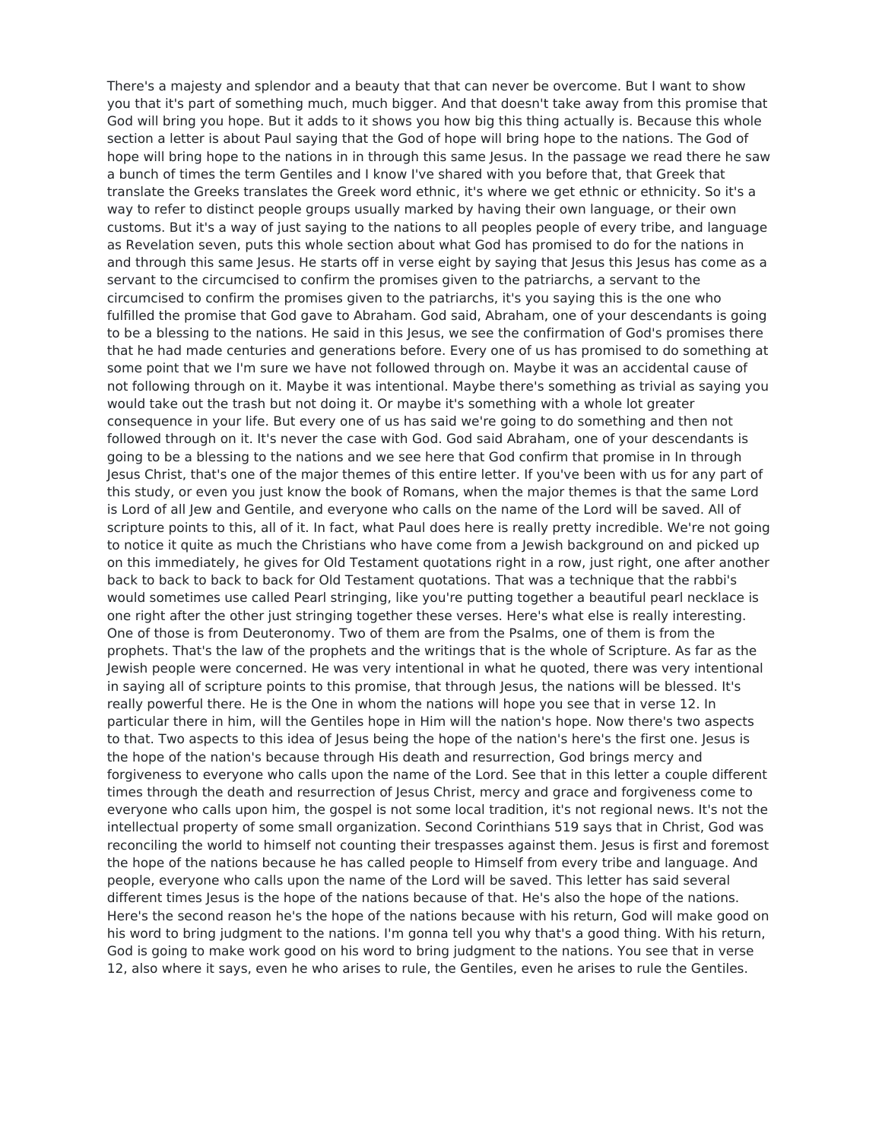There's a majesty and splendor and a beauty that that can never be overcome. But I want to show you that it's part of something much, much bigger. And that doesn't take away from this promise that God will bring you hope. But it adds to it shows you how big this thing actually is. Because this whole section a letter is about Paul saying that the God of hope will bring hope to the nations. The God of hope will bring hope to the nations in in through this same Jesus. In the passage we read there he saw a bunch of times the term Gentiles and I know I've shared with you before that, that Greek that translate the Greeks translates the Greek word ethnic, it's where we get ethnic or ethnicity. So it's a way to refer to distinct people groups usually marked by having their own language, or their own customs. But it's a way of just saying to the nations to all peoples people of every tribe, and language as Revelation seven, puts this whole section about what God has promised to do for the nations in and through this same Jesus. He starts off in verse eight by saying that Jesus this Jesus has come as a servant to the circumcised to confirm the promises given to the patriarchs, a servant to the circumcised to confirm the promises given to the patriarchs, it's you saying this is the one who fulfilled the promise that God gave to Abraham. God said, Abraham, one of your descendants is going to be a blessing to the nations. He said in this Jesus, we see the confirmation of God's promises there that he had made centuries and generations before. Every one of us has promised to do something at some point that we I'm sure we have not followed through on. Maybe it was an accidental cause of not following through on it. Maybe it was intentional. Maybe there's something as trivial as saying you would take out the trash but not doing it. Or maybe it's something with a whole lot greater consequence in your life. But every one of us has said we're going to do something and then not followed through on it. It's never the case with God. God said Abraham, one of your descendants is going to be a blessing to the nations and we see here that God confirm that promise in In through Jesus Christ, that's one of the major themes of this entire letter. If you've been with us for any part of this study, or even you just know the book of Romans, when the major themes is that the same Lord is Lord of all Jew and Gentile, and everyone who calls on the name of the Lord will be saved. All of scripture points to this, all of it. In fact, what Paul does here is really pretty incredible. We're not going to notice it quite as much the Christians who have come from a Jewish background on and picked up on this immediately, he gives for Old Testament quotations right in a row, just right, one after another back to back to back to back for Old Testament quotations. That was a technique that the rabbi's would sometimes use called Pearl stringing, like you're putting together a beautiful pearl necklace is one right after the other just stringing together these verses. Here's what else is really interesting. One of those is from Deuteronomy. Two of them are from the Psalms, one of them is from the prophets. That's the law of the prophets and the writings that is the whole of Scripture. As far as the Jewish people were concerned. He was very intentional in what he quoted, there was very intentional in saying all of scripture points to this promise, that through Jesus, the nations will be blessed. It's really powerful there. He is the One in whom the nations will hope you see that in verse 12. In particular there in him, will the Gentiles hope in Him will the nation's hope. Now there's two aspects to that. Two aspects to this idea of Jesus being the hope of the nation's here's the first one. Jesus is the hope of the nation's because through His death and resurrection, God brings mercy and forgiveness to everyone who calls upon the name of the Lord. See that in this letter a couple different times through the death and resurrection of Jesus Christ, mercy and grace and forgiveness come to everyone who calls upon him, the gospel is not some local tradition, it's not regional news. It's not the intellectual property of some small organization. Second Corinthians 519 says that in Christ, God was reconciling the world to himself not counting their trespasses against them. Jesus is first and foremost the hope of the nations because he has called people to Himself from every tribe and language. And people, everyone who calls upon the name of the Lord will be saved. This letter has said several different times Jesus is the hope of the nations because of that. He's also the hope of the nations. Here's the second reason he's the hope of the nations because with his return, God will make good on his word to bring judgment to the nations. I'm gonna tell you why that's a good thing. With his return, God is going to make work good on his word to bring judgment to the nations. You see that in verse 12, also where it says, even he who arises to rule, the Gentiles, even he arises to rule the Gentiles.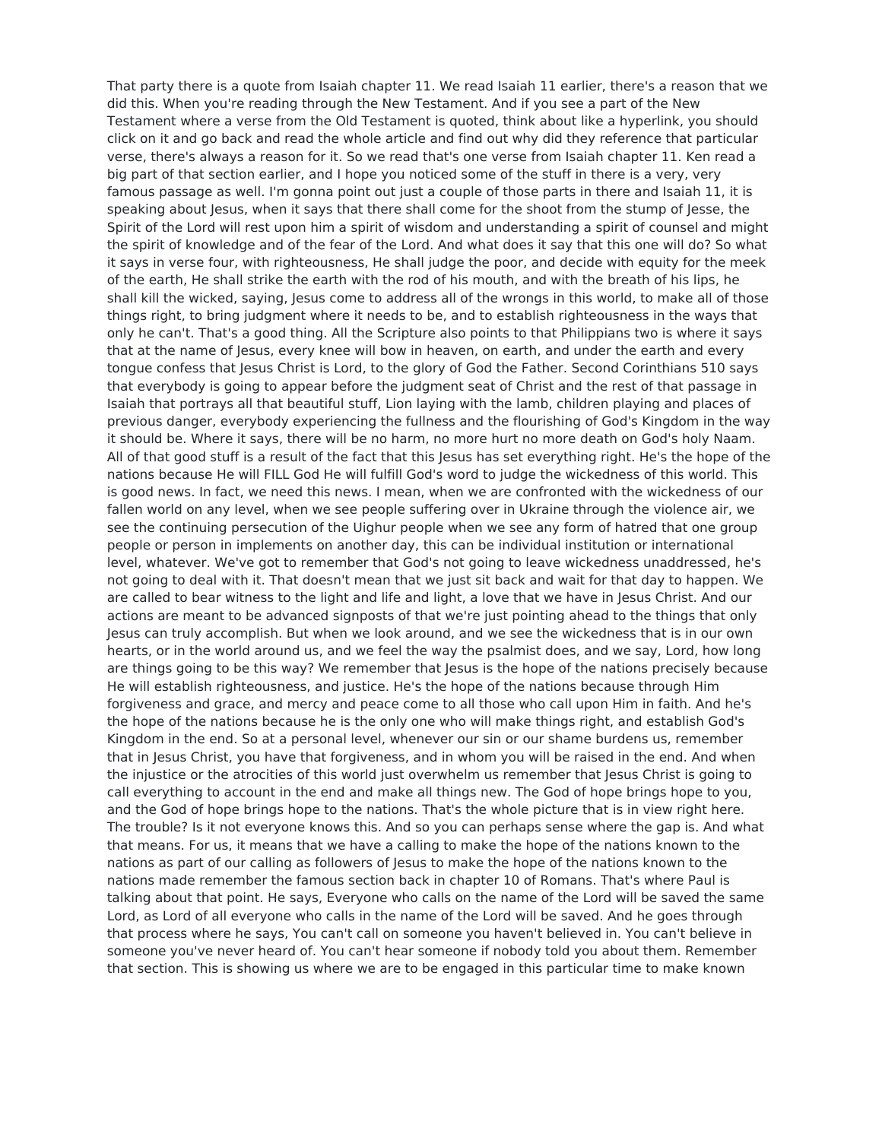That party there is a quote from Isaiah chapter 11. We read Isaiah 11 earlier, there's a reason that we did this. When you're reading through the New Testament. And if you see a part of the New Testament where a verse from the Old Testament is quoted, think about like a hyperlink, you should click on it and go back and read the whole article and find out why did they reference that particular verse, there's always a reason for it. So we read that's one verse from Isaiah chapter 11. Ken read a big part of that section earlier, and I hope you noticed some of the stuff in there is a very, very famous passage as well. I'm gonna point out just a couple of those parts in there and Isaiah 11, it is speaking about Jesus, when it says that there shall come for the shoot from the stump of Jesse, the Spirit of the Lord will rest upon him a spirit of wisdom and understanding a spirit of counsel and might the spirit of knowledge and of the fear of the Lord. And what does it say that this one will do? So what it says in verse four, with righteousness, He shall judge the poor, and decide with equity for the meek of the earth, He shall strike the earth with the rod of his mouth, and with the breath of his lips, he shall kill the wicked, saying, Jesus come to address all of the wrongs in this world, to make all of those things right, to bring judgment where it needs to be, and to establish righteousness in the ways that only he can't. That's a good thing. All the Scripture also points to that Philippians two is where it says that at the name of Jesus, every knee will bow in heaven, on earth, and under the earth and every tongue confess that Jesus Christ is Lord, to the glory of God the Father. Second Corinthians 510 says that everybody is going to appear before the judgment seat of Christ and the rest of that passage in Isaiah that portrays all that beautiful stuff, Lion laying with the lamb, children playing and places of previous danger, everybody experiencing the fullness and the flourishing of God's Kingdom in the way it should be. Where it says, there will be no harm, no more hurt no more death on God's holy Naam. All of that good stuff is a result of the fact that this Jesus has set everything right. He's the hope of the nations because He will FILL God He will fulfill God's word to judge the wickedness of this world. This is good news. In fact, we need this news. I mean, when we are confronted with the wickedness of our fallen world on any level, when we see people suffering over in Ukraine through the violence air, we see the continuing persecution of the Uighur people when we see any form of hatred that one group people or person in implements on another day, this can be individual institution or international level, whatever. We've got to remember that God's not going to leave wickedness unaddressed, he's not going to deal with it. That doesn't mean that we just sit back and wait for that day to happen. We are called to bear witness to the light and life and light, a love that we have in Jesus Christ. And our actions are meant to be advanced signposts of that we're just pointing ahead to the things that only Jesus can truly accomplish. But when we look around, and we see the wickedness that is in our own hearts, or in the world around us, and we feel the way the psalmist does, and we say, Lord, how long are things going to be this way? We remember that lesus is the hope of the nations precisely because He will establish righteousness, and justice. He's the hope of the nations because through Him forgiveness and grace, and mercy and peace come to all those who call upon Him in faith. And he's the hope of the nations because he is the only one who will make things right, and establish God's Kingdom in the end. So at a personal level, whenever our sin or our shame burdens us, remember that in Jesus Christ, you have that forgiveness, and in whom you will be raised in the end. And when the injustice or the atrocities of this world just overwhelm us remember that Jesus Christ is going to call everything to account in the end and make all things new. The God of hope brings hope to you, and the God of hope brings hope to the nations. That's the whole picture that is in view right here. The trouble? Is it not everyone knows this. And so you can perhaps sense where the gap is. And what that means. For us, it means that we have a calling to make the hope of the nations known to the nations as part of our calling as followers of Jesus to make the hope of the nations known to the nations made remember the famous section back in chapter 10 of Romans. That's where Paul is talking about that point. He says, Everyone who calls on the name of the Lord will be saved the same Lord, as Lord of all everyone who calls in the name of the Lord will be saved. And he goes through that process where he says, You can't call on someone you haven't believed in. You can't believe in someone you've never heard of. You can't hear someone if nobody told you about them. Remember that section. This is showing us where we are to be engaged in this particular time to make known